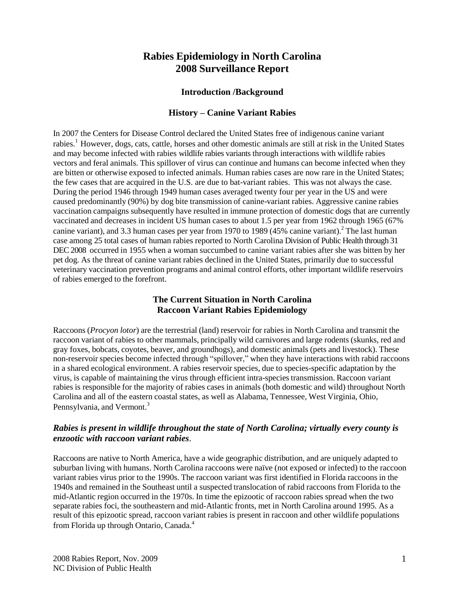# **Rabies Epidemiology in North Carolina 2008 Surveillance Report**

### **Introduction /Background**

### **History – Canine Variant Rabies**

In 2007 the Centers for Disease Control declared the United States free of indigenous canine variant rabies.<sup>1</sup> However, dogs, cats, cattle, horses and other domestic animals are still at risk in the United States and may become infected with rabies wildlife rabies variants through interactions with wildlife rabies vectors and feral animals. This spillover of virus can continue and humans can become infected when they are bitten or otherwise exposed to infected animals. Human rabies cases are now rare in the United States; the few cases that are acquired in the U.S. are due to bat-variant rabies. This was not always the case. During the period 1946 through 1949 human cases averaged twenty four per year in the US and were caused predominantly (90%) by dog bite transmission of canine-variant rabies. Aggressive canine rabies vaccination campaigns subsequently have resulted in immune protection of domestic dogs that are currently vaccinated and decreases in incident US human cases to about 1.5 per year from 1962 through 1965 (67% canine variant), and 3.3 human cases per year from 1970 to 1989 (45% canine variant). <sup>2</sup> The last human case among 25 total cases of human rabies reported to North Carolina Division of Public Health through 31 DEC 2008 occurred in 1955 when a woman succumbed to canine variant rabies after she was bitten by her pet dog. As the threat of canine variant rabies declined in the United States, primarily due to successful veterinary vaccination prevention programs and animal control efforts, other important wildlife reservoirs of rabies emerged to the forefront.

## **The Current Situation in North Carolina Raccoon Variant Rabies Epidemiology**

Raccoons (*Procyon lotor*) are the terrestrial (land) reservoir for rabies in North Carolina and transmit the raccoon variant of rabies to other mammals, principally wild carnivores and large rodents (skunks, red and gray foxes, bobcats, coyotes, beaver, and groundhogs), and domestic animals (pets and livestock). These non-reservoir species become infected through "spillover," when they have interactions with rabid raccoons in a shared ecological environment. A rabies reservoir species, due to species-specific adaptation by the virus, is capable of maintaining the virus through efficient intra-species transmission. Raccoon variant rabies is responsible for the majority of rabies cases in animals (both domestic and wild) throughout North Carolina and all of the eastern coastal states, as well as Alabama, Tennessee, West Virginia, Ohio, Pennsylvania, and Vermont.<sup>3</sup>

## *Rabies is present in wildlife throughout the state of North Carolina; virtually every county is enzootic with raccoon variant rabies*.

Raccoons are native to North America, have a wide geographic distribution, and are uniquely adapted to suburban living with humans. North Carolina raccoons were naïve (not exposed or infected) to the raccoon variant rabies virus prior to the 1990s. The raccoon variant was first identified in Florida raccoons in the 1940s and remained in the Southeast until a suspected translocation of rabid raccoons from Florida to the mid-Atlantic region occurred in the 1970s. In time the epizootic of raccoon rabies spread when the two separate rabies foci, the southeastern and mid-Atlantic fronts, met in North Carolina around 1995. As a result of this epizootic spread, raccoon variant rabies is present in raccoon and other wildlife populations from Florida up through Ontario, Canada.<sup>4</sup>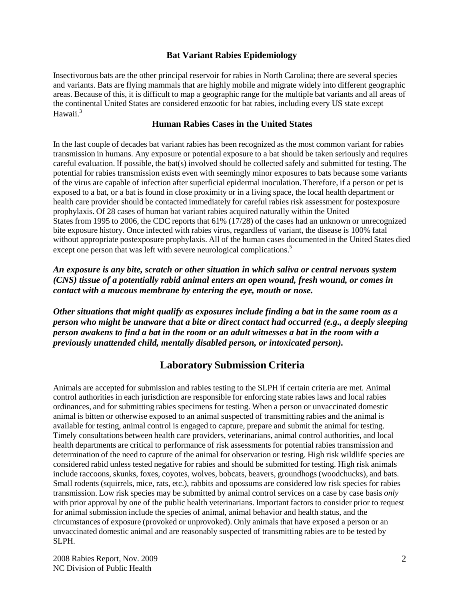### **Bat Variant Rabies Epidemiology**

Insectivorous bats are the other principal reservoir for rabies in North Carolina; there are several species and variants. Bats are flying mammals that are highly mobile and migrate widely into different geographic areas. Because of this, it is difficult to map a geographic range for the multiple bat variants and all areas of the continental United States are considered enzootic for bat rabies, including every US state except Hawaii.<sup>3</sup>

#### **Human Rabies Cases in the United States**

In the last couple of decades bat variant rabies has been recognized as the most common variant for rabies transmission in humans. Any exposure or potential exposure to a bat should be taken seriously and requires careful evaluation. If possible, the bat(s) involved should be collected safely and submitted for testing. The potential for rabies transmission exists even with seemingly minor exposures to bats because some variants of the virus are capable of infection after superficial epidermal inoculation. Therefore, if a person or pet is exposed to a bat, or a bat is found in close proximity or in a living space, the local health department or health care provider should be contacted immediately for careful rabies risk assessment for postexposure prophylaxis. Of 28 cases of human bat variant rabies acquired naturally within the United States from 1995 to 2006, the CDC reports that 61% (17/28) of the cases had an unknown or unrecognized bite exposure history. Once infected with rabies virus, regardless of variant, the disease is 100% fatal without appropriate postexposure prophylaxis. All of the human cases documented in the United States died except one person that was left with severe neurological complications.<sup>5</sup>

*An exposure is any bite, scratch or other situation in which saliva or central nervous system (CNS) tissue of a potentially rabid animal enters an open wound, fresh wound, or comes in contact with a mucous membrane by entering the eye, mouth or nose.*

*Other situations that might qualify as exposures include finding a bat in the same room as a person who might be unaware that a bite or direct contact had occurred (e.g., a deeply sleeping person awakens to find a bat in the room or an adult witnesses a bat in the room with a previously unattended child, mentally disabled person, or intoxicated person).*

# **Laboratory Submission Criteria**

Animals are accepted for submission and rabies testing to the SLPH if certain criteria are met. Animal control authorities in each jurisdiction are responsible for enforcing state rabies laws and local rabies ordinances, and for submitting rabies specimens for testing. When a person or unvaccinated domestic animal is bitten or otherwise exposed to an animal suspected of transmitting rabies and the animal is available for testing, animal control is engaged to capture, prepare and submit the animal for testing. Timely consultations between health care providers, veterinarians, animal control authorities, and local health departments are critical to performance of risk assessments for potential rabies transmission and determination of the need to capture of the animal for observation or testing. High risk wildlife species are considered rabid unless tested negative for rabies and should be submitted for testing. High risk animals include raccoons, skunks, foxes, coyotes, wolves, bobcats, beavers, groundhogs (woodchucks), and bats. Small rodents (squirrels, mice, rats, etc.), rabbits and opossums are considered low risk species for rabies transmission. Low risk species may be submitted by animal control services on a case by case basis *only*  with prior approval by one of the public health veterinarians. Important factors to consider prior to request for animal submission include the species of animal, animal behavior and health status, and the circumstances of exposure (provoked or unprovoked). Only animals that have exposed a person or an unvaccinated domestic animal and are reasonably suspected of transmitting rabies are to be tested by SLPH.

2008 Rabies Report, Nov. 2009 NC Division of Public Health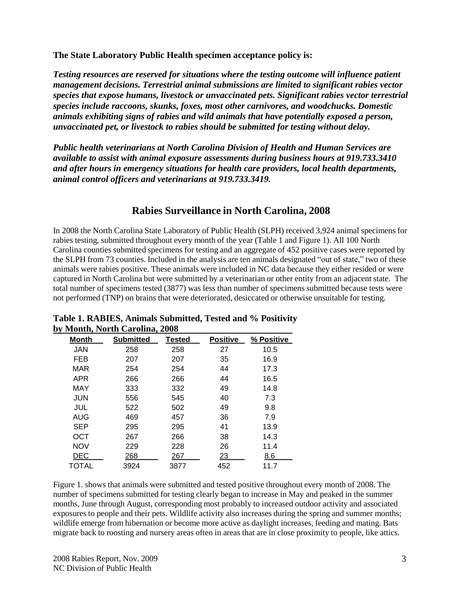**The State Laboratory Public Health specimen acceptance policy is:**

*Testing resources are reserved for situations where the testing outcome will influence patient management decisions. Terrestrial animal submissions are limited to significant rabies vector species that expose humans, livestock or unvaccinated pets. Significant rabies vector terrestrial species include raccoons, skunks, foxes, most other carnivores, and woodchucks. Domestic animals exhibiting signs of rabies and wild animals that have potentially exposed a person, unvaccinated pet, or livestock to rabies should be submitted for testing without delay.*

*Public health veterinarians at North Carolina Division of Health and Human Services are available to assist with animal exposure assessments during business hours at 919.733.3410 and after hours in emergency situations for health care providers, local health departments, animal control officers and veterinarians at 919.733.3419.*

# **Rabies Surveillance in North Carolina, 2008**

In 2008 the North Carolina State Laboratory of Public Health (SLPH) received 3,924 animal specimens for rabies testing, submitted throughout every month of the year (Table 1 and Figure 1). All 100 North Carolina counties submitted specimens for testing and an aggregate of 452 positive cases were reported by the SLPH from 73 counties. Included in the analysis are ten animals designated "out of state," two of these animals were rabies positive. These animals were included in NC data because they either resided or were captured in North Carolina but were submitted by a veterinarian or other entity from an adjacent state. The total number of specimens tested (3877) was less than number of specimens submitted because tests were not performed (TNP) on brains that were deteriorated, desiccated or otherwise unsuitable for testing.

|            | woman, i voi un Caronina, 2000 |        |                 |            |
|------------|--------------------------------|--------|-----------------|------------|
| Month      | <b>Submitted</b>               | Tested | <b>Positive</b> | % Positive |
| JAN        | 258                            | 258    | 27              | 10.5       |
| FEB        | 207                            | 207    | 35              | 16.9       |
| MAR        | 254                            | 254    | 44              | 17.3       |
| APR        | 266                            | 266    | 44              | 16.5       |
| MAY        | 333                            | 332    | 49              | 14.8       |
| JUN        | 556                            | 545    | 40              | 7.3        |
| JUL        | 522                            | 502    | 49              | 9.8        |
| AUG        | 469                            | 457    | 36              | 7.9        |
| <b>SEP</b> | 295                            | 295    | 41              | 13.9       |
| OCT        | 267                            | 266    | 38              | 14.3       |
| <b>NOV</b> | 229                            | 228    | 26              | 11.4       |
| DEC        | 268                            | 267    | 23              | 8.6        |
| TOTAL      | 3924                           | 3877   | 452             | 11.7       |

**Table 1. RABIES, Animals Submitted, Tested and % Positivity by Month, North Carolina, 2008** 

Figure 1. shows that animals were submitted and tested positive throughout every month of 2008. The number of specimens submitted for testing clearly began to increase in May and peaked in the summer months, June through August, corresponding most probably to increased outdoor activity and associated exposures to people and their pets. Wildlife activity also increases during the spring and summer months; wildlife emerge from hibernation or become more active as daylight increases, feeding and mating. Bats migrate back to roosting and nursery areas often in areas that are in close proximity to people, like attics.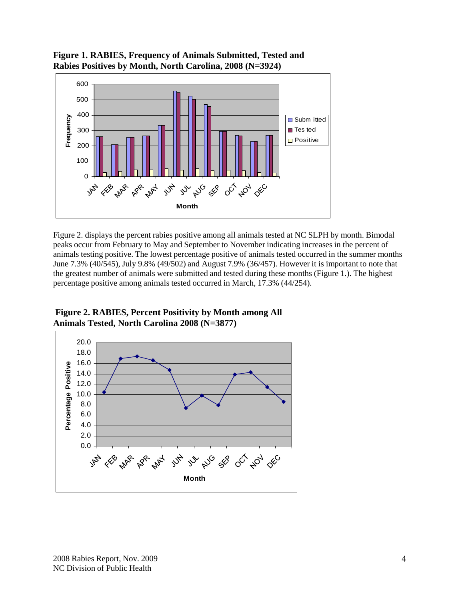



Figure 2. displays the percent rabies positive among all animals tested at NC SLPH by month. Bimodal peaks occur from February to May and September to November indicating increases in the percent of animals testing positive. The lowest percentage positive of animals tested occurred in the summer months June 7.3% (40/545), July 9.8% (49/502) and August 7.9% (36/457). However it is important to note that the greatest number of animals were submitted and tested during these months (Figure 1.). The highest percentage positive among animals tested occurred in March, 17.3% (44/254).

**Figure 2. RABIES, Percent Positivity by Month among All Animals Tested, North Carolina 2008 (N=3877)**

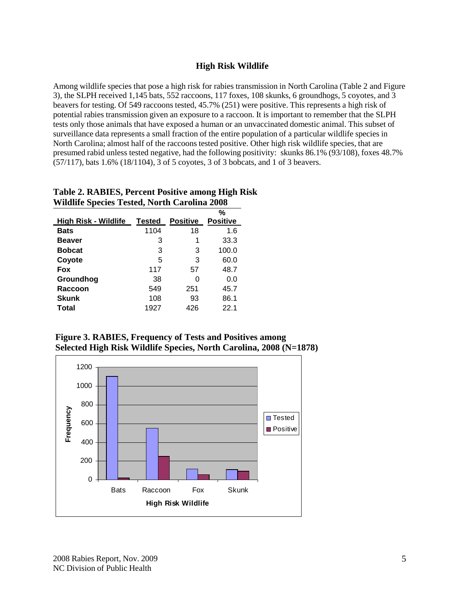## **High Risk Wildlife**

Among wildlife species that pose a high risk for rabies transmission in North Carolina (Table 2 and Figure 3), the SLPH received 1,145 bats, 552 raccoons, 117 foxes, 108 skunks, 6 groundhogs, 5 coyotes, and 3 beavers for testing. Of 549 raccoons tested, 45.7% (251) were positive. This represents a high risk of potential rabies transmission given an exposure to a raccoon. It is important to remember that the SLPH tests only those animals that have exposed a human or an unvaccinated domestic animal. This subset of surveillance data represents a small fraction of the entire population of a particular wildlife species in North Carolina; almost half of the raccoons tested positive. Other high risk wildlife species, that are presumed rabid unless tested negative, had the following positivity: skunks 86.1% (93/108), foxes 48.7% (57/117), bats 1.6% (18/1104), 3 of 5 coyotes, 3 of 3 bobcats, and 1 of 3 beavers.

#### **Table 2. RABIES, Percent Positive among High Risk Wildlife Species Tested, North Carolina 2008 High Risk - Wildlife Tested Positive % Positive**

| High Risk - Wildlife | Tested | <b>Positive</b> | Positive |
|----------------------|--------|-----------------|----------|
| <b>Bats</b>          | 1104   | 18              | 1.6      |
| <b>Beaver</b>        | 3      | 1               | 33.3     |
| <b>Bobcat</b>        | 3      | 3               | 100.0    |
| Coyote               | 5      | 3               | 60.0     |
| <b>Fox</b>           | 117    | 57              | 48.7     |
| Groundhog            | 38     | 0               | 0.0      |
| <b>Raccoon</b>       | 549    | 251             | 45.7     |
| <b>Skunk</b>         | 108    | 93              | 86.1     |
| Total                | 1927   | 426             | 22.1     |

**Figure 3. RABIES, Frequency of Tests and Positives among Selected High Risk Wildlife Species, North Carolina, 2008 (N=1878)**

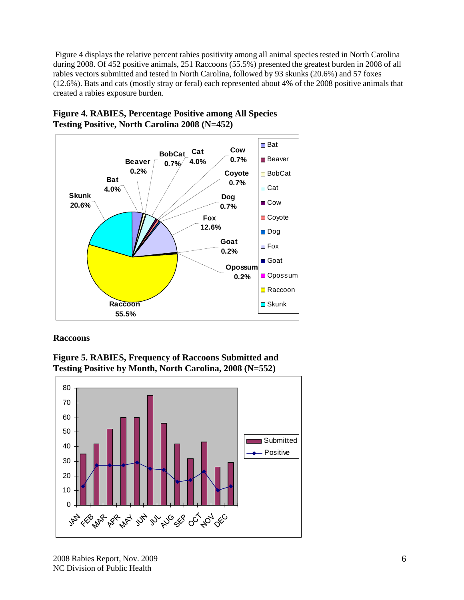Figure 4 displays the relative percent rabies positivity among all animal species tested in North Carolina during 2008. Of 452 positive animals, 251 Raccoons (55.5%) presented the greatest burden in 2008 of all rabies vectors submitted and tested in North Carolina, followed by 93 skunks (20.6%) and 57 foxes (12.6%). Bats and cats (mostly stray or feral) each represented about 4% of the 2008 positive animals that created a rabies exposure burden.



**Figure 4. RABIES, Percentage Positive among All Species Testing Positive, North Carolina 2008 (N=452)**

### **Raccoons**



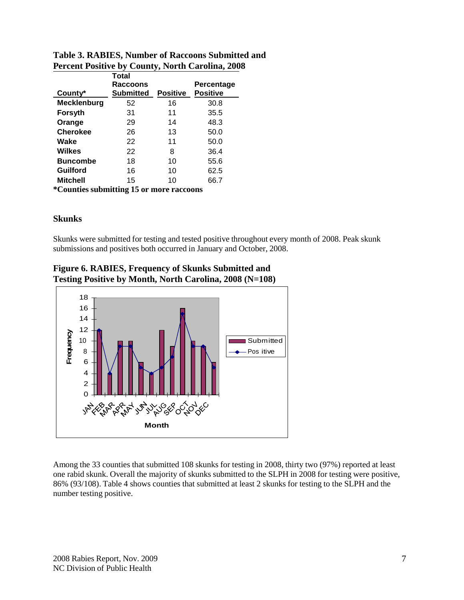|                                          | Total<br>Raccoons |                 | Percentage      |  |  |
|------------------------------------------|-------------------|-----------------|-----------------|--|--|
| County*                                  | Submitted         | <b>Positive</b> | <b>Positive</b> |  |  |
| <b>Mecklenburg</b>                       | 52                | 16              | 30.8            |  |  |
| Forsyth                                  | 31                | 11              | 35.5            |  |  |
| Orange                                   | 29                | 14              | 48.3            |  |  |
| <b>Cherokee</b>                          | 26                | 13              | 50.0            |  |  |
| Wake                                     | 22                | 11              | 50.0            |  |  |
| Wilkes                                   | 22                | 8               | 36.4            |  |  |
| <b>Buncombe</b>                          | 18                | 10              | 55.6            |  |  |
| <b>Guilford</b>                          | 16                | 10              | 62.5            |  |  |
| <b>Mitchell</b>                          | 15                | 10              | 66.7            |  |  |
| *Counties submitting 15 or more reccoons |                   |                 |                 |  |  |

# **Table 3. RABIES, Number of Raccoons Submitted and Percent Positive by County, North Carolina, 2008**

**\*Counties submitting 15 or more raccoons**

# **Skunks**

Skunks were submitted for testing and tested positive throughout every month of 2008. Peak skunk submissions and positives both occurred in January and October, 2008.



**Figure 6. RABIES, Frequency of Skunks Submitted and Testing Positive by Month, North Carolina, 2008 (N=108)**

Among the 33 counties that submitted 108 skunks for testing in 2008, thirty two (97%) reported at least one rabid skunk. Overall the majority of skunks submitted to the SLPH in 2008 for testing were positive, 86% (93/108). Table 4 shows counties that submitted at least 2 skunks for testing to the SLPH and the number testing positive.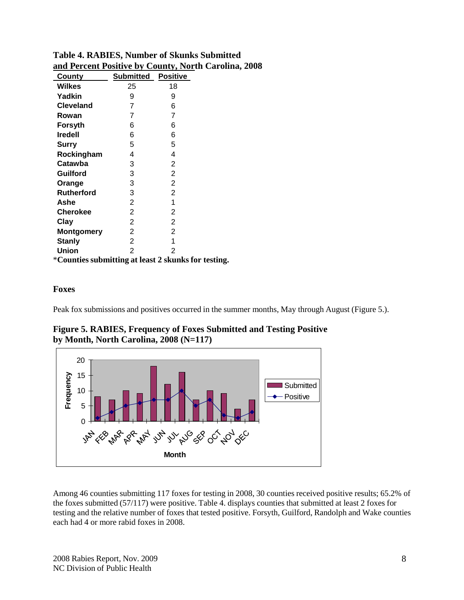| County                                              | <b>Submitted</b> | <b>Positive</b> |  |
|-----------------------------------------------------|------------------|-----------------|--|
| <b>Wilkes</b>                                       | 25               | 18              |  |
| Yadkin                                              | 9                | 9               |  |
| <b>Cleveland</b>                                    | 7                | 6               |  |
| Rowan                                               | 7                | 7               |  |
| Forsyth                                             | 6                | 6               |  |
| <b>Iredell</b>                                      | 6                | 6               |  |
| Surry                                               | 5                | 5               |  |
| Rockingham                                          | 4                | 4               |  |
| Catawba                                             | 3                | $\overline{2}$  |  |
| <b>Guilford</b>                                     | 3                | 2               |  |
| Orange                                              | 3                | 2               |  |
| <b>Rutherford</b>                                   | 3                | 2               |  |
| Ashe                                                | $\overline{2}$   | 1               |  |
| <b>Cherokee</b>                                     | $\overline{2}$   | 2               |  |
| Clay                                                | 2                | 2               |  |
| <b>Montgomery</b>                                   | 2                | 2               |  |
| <b>Stanly</b>                                       | 2                | 1               |  |
| <b>Union</b>                                        | $\overline{2}$   | $\overline{2}$  |  |
| *Counties submitting at least 2 skunks for testing. |                  |                 |  |

**Table 4. RABIES, Number of Skunks Submitted and Percent Positive by County, North Carolina, 2008**

### **Foxes**

Peak fox submissions and positives occurred in the summer months, May through August (Figure 5.).



**Figure 5. RABIES, Frequency of Foxes Submitted and Testing Positive by Month, North Carolina, 2008 (N=117)**

Among 46 counties submitting 117 foxes for testing in 2008, 30 counties received positive results; 65.2% of the foxes submitted (57/117) were positive. Table 4. displays counties that submitted at least 2 foxes for testing and the relative number of foxes that tested positive. Forsyth, Guilford, Randolph and Wake counties each had 4 or more rabid foxes in 2008.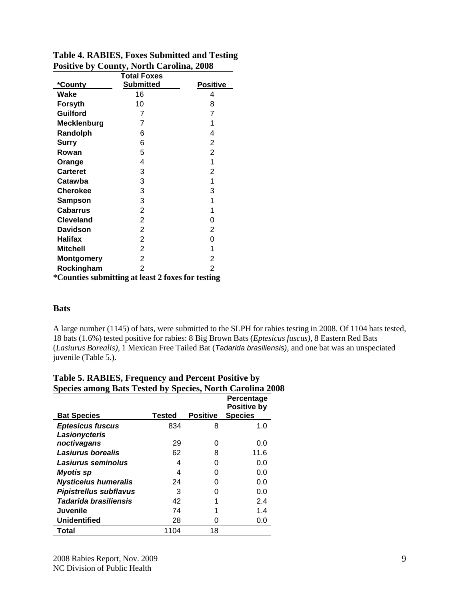|                                                   | <b>Total Foxes</b> |                 |  |  |  |
|---------------------------------------------------|--------------------|-----------------|--|--|--|
| *County                                           | <b>Submitted</b>   | <b>Positive</b> |  |  |  |
| Wake                                              | 16                 | 4               |  |  |  |
| <b>Forsyth</b>                                    | 10                 | 8               |  |  |  |
| <b>Guilford</b>                                   | 7                  | $\overline{7}$  |  |  |  |
| <b>Mecklenburg</b>                                | 7                  | 1               |  |  |  |
| Randolph                                          | 6                  | 4               |  |  |  |
| Surry                                             | 6                  | $\overline{2}$  |  |  |  |
| Rowan                                             | 5                  | $\overline{2}$  |  |  |  |
| Orange                                            | 4                  | 1               |  |  |  |
| <b>Carteret</b>                                   | 3                  | 2               |  |  |  |
| Catawba                                           | 3                  | 1               |  |  |  |
| <b>Cherokee</b>                                   | 3                  | 3               |  |  |  |
| Sampson                                           | 3                  | 1               |  |  |  |
| <b>Cabarrus</b>                                   | $\overline{c}$     | 1               |  |  |  |
| <b>Cleveland</b>                                  | $\overline{c}$     | 0               |  |  |  |
| <b>Davidson</b>                                   | $\overline{c}$     | $\overline{2}$  |  |  |  |
| <b>Halifax</b>                                    | $\overline{2}$     | 0               |  |  |  |
| <b>Mitchell</b>                                   | $\overline{2}$     | 1               |  |  |  |
| Montgomery                                        | $\overline{2}$     | 2               |  |  |  |
| Rockingham                                        | $\overline{2}$     | $\overline{2}$  |  |  |  |
| *Counties submitting at least 2 foxes for testing |                    |                 |  |  |  |

# **Table 4. RABIES, Foxes Submitted and Testing Positive by County, North Carolina, 2008**

## **Bats**

A large number (1145) of bats, were submitted to the SLPH for rabies testing in 2008. Of 1104 bats tested, 18 bats (1.6%) tested positive for rabies: 8 Big Brown Bats (*Eptesicus fuscus)*, 8 Eastern Red Bats (*Lasiurus Borealis)*, 1 Mexican Free Tailed Bat (*Tadarida brasiliensis)*, and one bat was an unspeciated juvenile (Table 5.).

| Э                             | $\sim$ r $\sim$ |                 | Percentage<br><b>Positive by</b> |
|-------------------------------|-----------------|-----------------|----------------------------------|
| <b>Bat Species</b>            | Tested          | <b>Positive</b> | <b>Species</b>                   |
| <b>Eptesicus fuscus</b>       | 834             | 8               | 1.0                              |
| Lasionycteris                 |                 |                 |                                  |
| noctivagans                   | 29              |                 | 0.0                              |
| Lasiurus borealis             | 62              | 8               | 11.6                             |
| Lasiurus seminolus            | 4               |                 | 0.0                              |
| <b>Myotis</b> sp              | 4               |                 | 0.0                              |
| <b>Nysticeius humeralis</b>   | 24              |                 | 0.0                              |
| <b>Pipistrellus subflavus</b> | 3               |                 | 0.0                              |
| Tadarida brasiliensis         | 42              |                 | 2.4                              |
| <b>Juvenile</b>               | 74              |                 | 1.4                              |
| <b>Unidentified</b>           | 28              |                 | 0.0                              |
| Total                         | 1104            | 18              |                                  |

# **Table 5. RABIES, Frequency and Percent Positive by Species among Bats Tested by Species, North Carolina 2008**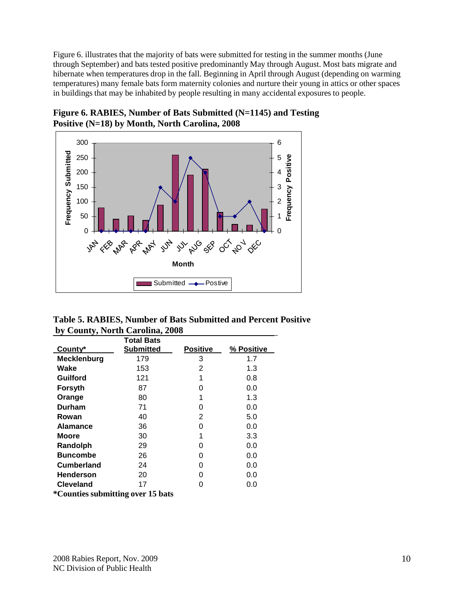Figure 6. illustrates that the majority of bats were submitted for testing in the summer months (June through September) and bats tested positive predominantly May through August. Most bats migrate and hibernate when temperatures drop in the fall. Beginning in April through August (depending on warming temperatures) many female bats form maternity colonies and nurture their young in attics or other spaces in buildings that may be inhabited by people resulting in many accidental exposures to people.



**Figure 6. RABIES, Number of Bats Submitted (N=1145) and Testing Positive (N=18) by Month, North Carolina, 2008**

**Table 5. RABIES, Number of Bats Submitted and Percent Positive by County, North Carolina, 2008**

|                    | Total Bats       |                 |            |
|--------------------|------------------|-----------------|------------|
| County*            | <b>Submitted</b> | <b>Positive</b> | % Positive |
| <b>Mecklenburg</b> | 179              | 3               | 1.7        |
| Wake               | 153              | 2               | 1.3        |
| Guilford           | 121              | 1               | 0.8        |
| Forsyth            | 87               | O               | 0.0        |
| Orange             | 80               | 1               | 1.3        |
| <b>Durham</b>      | 71               | 0               | 0.0        |
| Rowan              | 40               | 2               | 5.0        |
| <b>Alamance</b>    | 36               | 0               | 0.0        |
| Moore              | 30               | 1               | 3.3        |
| Randolph           | 29               | O               | 0.0        |
| <b>Buncombe</b>    | 26               | 0               | 0.0        |
| Cumberland         | 24               | O               | 0.0        |
| <b>Henderson</b>   | 20               | O               | 0.0        |
| <b>Cleveland</b>   | 17               | 0               | 0.0        |

**\*Counties submitting over 15 bats**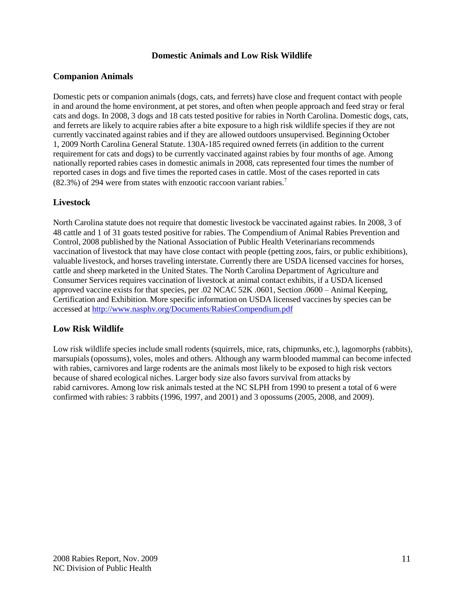## **Domestic Animals and Low Risk Wildlife**

## **Companion Animals**

Domestic pets or companion animals (dogs, cats, and ferrets) have close and frequent contact with people in and around the home environment, at pet stores, and often when people approach and feed stray or feral cats and dogs. In 2008, 3 dogs and 18 cats tested positive for rabies in North Carolina. Domestic dogs, cats, and ferrets are likely to acquire rabies after a bite exposure to a high risk wildlife species if they are not currently vaccinated against rabies and if they are allowed outdoors unsupervised. Beginning October 1, 2009 North Carolina General Statute. 130A-185 required owned ferrets (in addition to the current requirement for cats and dogs) to be currently vaccinated against rabies by four months of age. Among nationally reported rabies cases in domestic animals in 2008, cats represented four times the number of reported cases in dogs and five times the reported cases in cattle. Most of the cases reported in cats  $(82.3%)$  of 294 were from states with enzootic raccoon variant rabies.<sup>7</sup>

## **Livestock**

North Carolina statute does not require that domestic livestock be vaccinated against rabies. In 2008, 3 of 48 cattle and 1 of 31 goats tested positive for rabies. The Compendium of Animal Rabies Prevention and Control, 2008 published by the National Association of Public Health Veterinarians recommends vaccination of livestock that may have close contact with people (petting zoos, fairs, or public exhibitions), valuable livestock, and horses traveling interstate. Currently there are USDA licensed vaccines for horses, cattle and sheep marketed in the United States. The North Carolina Department of Agriculture and Consumer Services requires vaccination of livestock at animal contact exhibits, if a USDA licensed approved vaccine exists for that species, per .02 NCAC 52K .0601, Section .0600 – Animal Keeping, Certification and Exhibition. More specific information on USDA licensed vaccines by species can be accessed at <http://www.nasphv.org/Documents/RabiesCompendium.pdf>

# **Low Risk Wildlife**

Low risk wildlife species include small rodents (squirrels, mice, rats, chipmunks, etc.), lagomorphs (rabbits), marsupials (opossums), voles, moles and others. Although any warm blooded mammal can become infected with rabies, carnivores and large rodents are the animals most likely to be exposed to high risk vectors because of shared ecological niches. Larger body size also favors survival from attacks by rabid carnivores. Among low risk animals tested at the NC SLPH from 1990 to present a total of 6 were confirmed with rabies: 3 rabbits (1996, 1997, and 2001) and 3 opossums (2005, 2008, and 2009).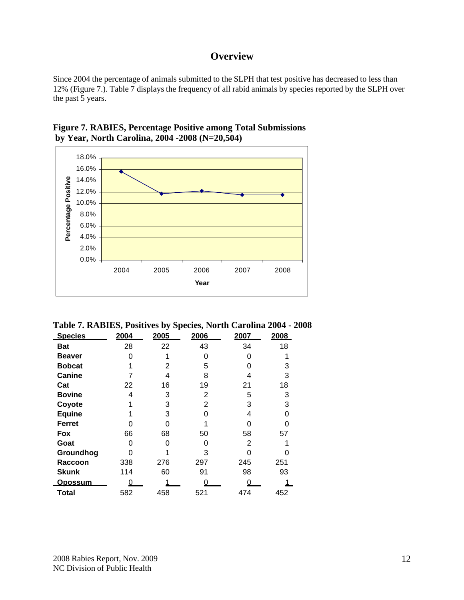# **Overview**

Since 2004 the percentage of animals submitted to the SLPH that test positive has decreased to less than 12% (Figure 7.). Table 7 displays the frequency of all rabid animals by species reported by the SLPH over the past 5 years.





**Table 7. RABIES, Positives by Species, North Carolina 2004 - 2008**

| <b>Species</b> | 2004 | 2005 | 2006 | 2007 | 2008 |
|----------------|------|------|------|------|------|
| <b>Bat</b>     | 28   | 22   | 43   | 34   | 18   |
| <b>Beaver</b>  |      |      | O    |      |      |
| <b>Bobcat</b>  |      | 2    | 5    |      | 3    |
| Canine         |      | 4    | 8    |      | 3    |
| Cat            | 22   | 16   | 19   | 21   | 18   |
| <b>Bovine</b>  | 4    | 3    | 2    | 5    | 3    |
| Coyote         |      | 3    | 2    | 3    | 3    |
| <b>Equine</b>  |      | 3    | ∩    | 4    |      |
| Ferret         | O    |      |      |      |      |
| Fox            | 66   | 68   | 50   | 58   | 57   |
| Goat           | ი    |      |      | 2    |      |
| Groundhog      |      |      | 3    |      |      |
| Raccoon        | 338  | 276  | 297  | 245  | 251  |
| <b>Skunk</b>   | 114  | 60   | 91   | 98   | 93   |
| <u>Opossum</u> |      |      |      |      |      |
| Total          | 582  | 458  | 521  | 474  | 452  |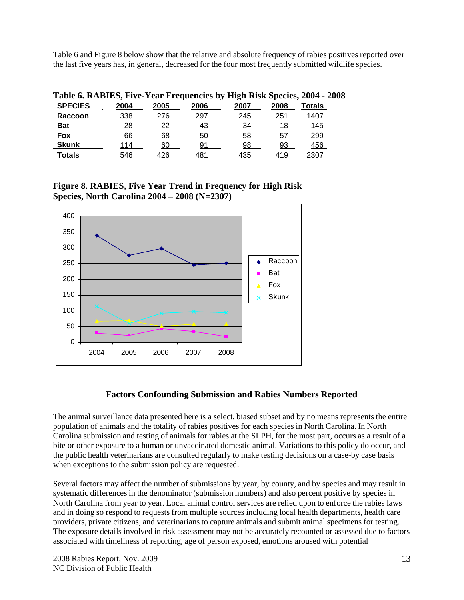Table 6 and Figure 8 below show that the relative and absolute frequency of rabies positives reported over the last five years has, in general, decreased for the four most frequently submitted wildlife species.

| Table 6. RABIES, Five-Year Frequencies by High Risk Species, 2004 - 2008 |      |      |      |      |      |        |  |
|--------------------------------------------------------------------------|------|------|------|------|------|--------|--|
| <b>SPECIES</b>                                                           | 2004 | 2005 | 2006 | 2007 | 2008 | Totals |  |
| Raccoon                                                                  | 338  | 276  | 297  | 245  | 251  | 1407   |  |
| <b>Bat</b>                                                               | 28   | 22   | 43   | 34   | 18   | 145    |  |
| Fox                                                                      | 66   | 68   | 50   | 58   | 57   | 299    |  |
| <b>Skunk</b>                                                             | 114  | 60   | 91   | 98   | 93   | 456    |  |
| <b>Totals</b>                                                            | 546  | 426  | 481  | 435  | 419  | 2307   |  |

**Figure 8. RABIES, Five Year Trend in Frequency for High Risk Species, North Carolina 2004 – 2008 (N=2307)**



### **Factors Confounding Submission and Rabies Numbers Reported**

The animal surveillance data presented here is a select, biased subset and by no means represents the entire population of animals and the totality of rabies positives for each species in North Carolina. In North Carolina submission and testing of animals for rabies at the SLPH, for the most part, occurs as a result of a bite or other exposure to a human or unvaccinated domestic animal. Variations to this policy do occur, and the public health veterinarians are consulted regularly to make testing decisions on a case-by case basis when exceptions to the submission policy are requested.

Several factors may affect the number of submissions by year, by county, and by species and may result in systematic differences in the denominator (submission numbers) and also percent positive by species in North Carolina from year to year. Local animal control services are relied upon to enforce the rabies laws and in doing so respond to requests from multiple sources including local health departments, health care providers, private citizens, and veterinarians to capture animals and submit animal specimens for testing. The exposure details involved in risk assessment may not be accurately recounted or assessed due to factors associated with timeliness of reporting, age of person exposed, emotions aroused with potential